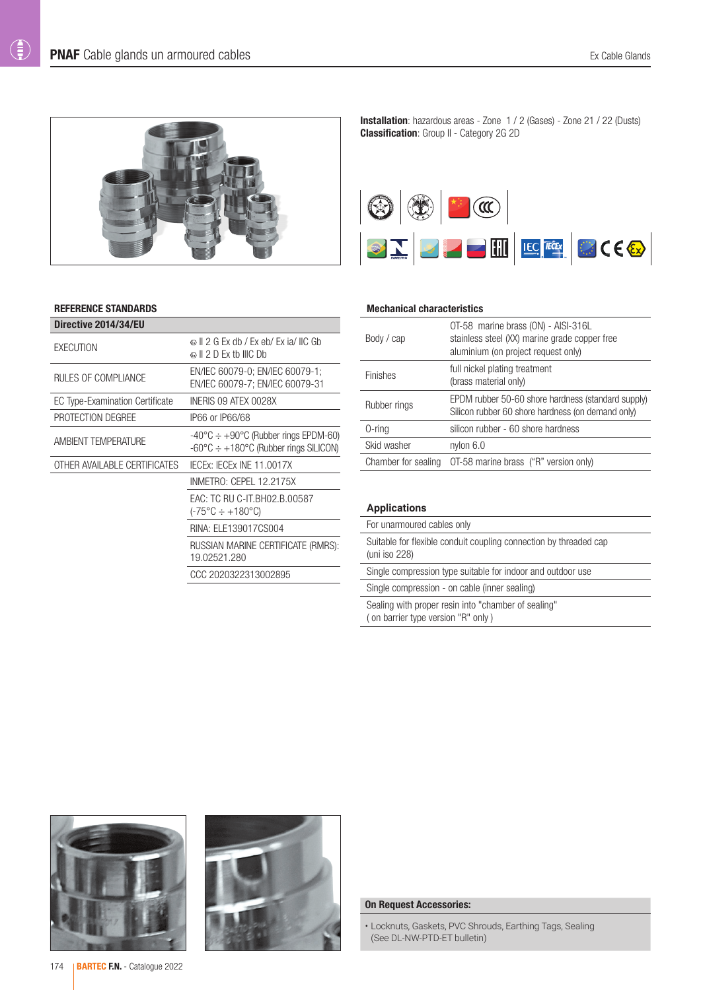$\bigoplus$ 



#### REFERENCE STANDARDS

| Directive 2014/34/EU                   |                                                                                                                                   |
|----------------------------------------|-----------------------------------------------------------------------------------------------------------------------------------|
| EXECUTION                              | © II 2 G Ex db / Ex eb/ Ex ja/ IIC Gb<br>$\otimes$ II 2 D Ex tb IIIC Db                                                           |
| RULES OF COMPLIANCE                    | EN/IEC 60079-0; EN/IEC 60079-1;<br>EN/IEC 60079-7: EN/IEC 60079-31                                                                |
| <b>EC Type-Examination Certificate</b> | INERIS 09 ATEX 0028X                                                                                                              |
| PROTECTION DEGREE                      | IP66 or IP66/68                                                                                                                   |
| <b>AMBIENT TEMPERATURE</b>             | $-40^{\circ}$ C $\div$ +90 $^{\circ}$ C (Rubber rings EPDM-60)<br>$-60^{\circ}$ C $\div$ +180 $^{\circ}$ C (Rubber rings SILICON) |
| OTHER AVAILABLE CERTIFICATES           | IECEX: IECEX INE 11.0017X                                                                                                         |
|                                        | INMETRO: CEPEL 12.2175X                                                                                                           |
|                                        | EAC: TC RU C-IT.BH02.B.00587<br>(-75°C ÷ +180°C)                                                                                  |
|                                        | RINA: ELE139017CS004                                                                                                              |
|                                        | RUSSIAN MARINE CERTIFICATE (RMRS):<br>19.02521.280                                                                                |
|                                        | CCC 2020322313002895                                                                                                              |
|                                        |                                                                                                                                   |

Installation: hazardous areas - Zone 1 / 2 (Gases) - Zone 21 / 22 (Dusts) Classification: Group II - Category 2G 2D



#### Mechanical characteristics

| Body / cap          | OT-58 marine brass (ON) - AISI-316L<br>stainless steel (XX) marine grade copper free<br>aluminium (on project request only) |
|---------------------|-----------------------------------------------------------------------------------------------------------------------------|
| <b>Finishes</b>     | full nickel plating treatment<br>(brass material only)                                                                      |
| Rubber rings        | EPDM rubber 50-60 shore hardness (standard supply)<br>Silicon rubber 60 shore hardness (on demand only)                     |
| $0$ -ring           | silicon rubber - 60 shore hardness                                                                                          |
| Skid washer         | nylon $6.0$                                                                                                                 |
| Chamber for sealing | OT-58 marine brass ("R" version only)                                                                                       |

### **Applications**

| For unarmoured cables only                                                                |  |  |  |  |  |
|-------------------------------------------------------------------------------------------|--|--|--|--|--|
| Suitable for flexible conduit coupling connection by threaded cap<br>(uni iso 228)        |  |  |  |  |  |
| Single compression type suitable for indoor and outdoor use                               |  |  |  |  |  |
| Single compression - on cable (inner sealing)                                             |  |  |  |  |  |
| Sealing with proper resin into "chamber of sealing"<br>(on barrier type version "R" only) |  |  |  |  |  |





#### On Request Accessories:

• Locknuts, Gaskets, PVC Shrouds, Earthing Tags, Sealing (See DL-NW-PTD-ET bulletin)